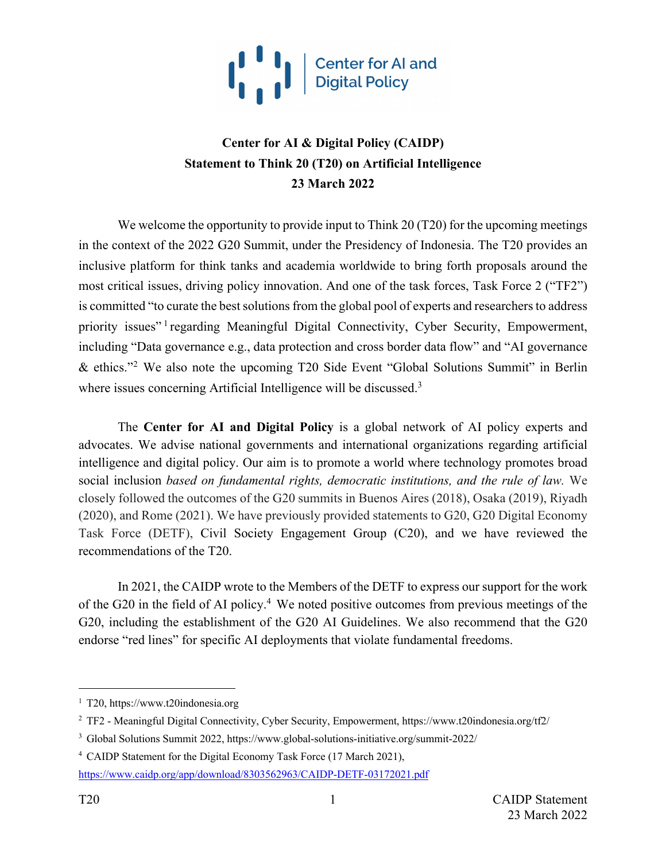

### **Center for AI & Digital Policy (CAIDP) Statement to Think 20 (T20) on Artificial Intelligence 23 March 2022**

We welcome the opportunity to provide input to Think 20 (T20) for the upcoming meetings in the context of the 2022 G20 Summit, under the Presidency of Indonesia. The T20 provides an inclusive platform for think tanks and academia worldwide to bring forth proposals around the most critical issues, driving policy innovation. And one of the task forces, Task Force 2 ("TF2") is committed "to curate the best solutions from the global pool of experts and researchers to address priority issues"<sup>1</sup> regarding Meaningful Digital Connectivity, Cyber Security, Empowerment, including "Data governance e.g., data protection and cross border data flow" and "AI governance & ethics."2 We also note the upcoming T20 Side Event "Global Solutions Summit" in Berlin where issues concerning Artificial Intelligence will be discussed.<sup>3</sup>

The **Center for AI and Digital Policy** is a global network of AI policy experts and advocates. We advise national governments and international organizations regarding artificial intelligence and digital policy. Our aim is to promote a world where technology promotes broad social inclusion *based on fundamental rights, democratic institutions, and the rule of law.* We closely followed the outcomes of the G20 summits in Buenos Aires (2018), Osaka (2019), Riyadh (2020), and Rome (2021). We have previously provided statements to G20, G20 Digital Economy Task Force (DETF), Civil Society Engagement Group (C20), and we have reviewed the recommendations of the T20.

In 2021, the CAIDP wrote to the Members of the DETF to express our support for the work of the G20 in the field of AI policy.4 We noted positive outcomes from previous meetings of the G20, including the establishment of the G20 AI Guidelines. We also recommend that the G20 endorse "red lines" for specific AI deployments that violate fundamental freedoms.

<sup>1</sup> T20, https://www.t20indonesia.org

<sup>2</sup> TF2 - Meaningful Digital Connectivity, Cyber Security, Empowerment, https://www.t20indonesia.org/tf2/

<sup>3</sup> Global Solutions Summit 2022, https://www.global-solutions-initiative.org/summit-2022/

<sup>4</sup> CAIDP Statement for the Digital Economy Task Force (17 March 2021),

https://www.caidp.org/app/download/8303562963/CAIDP-DETF-03172021.pdf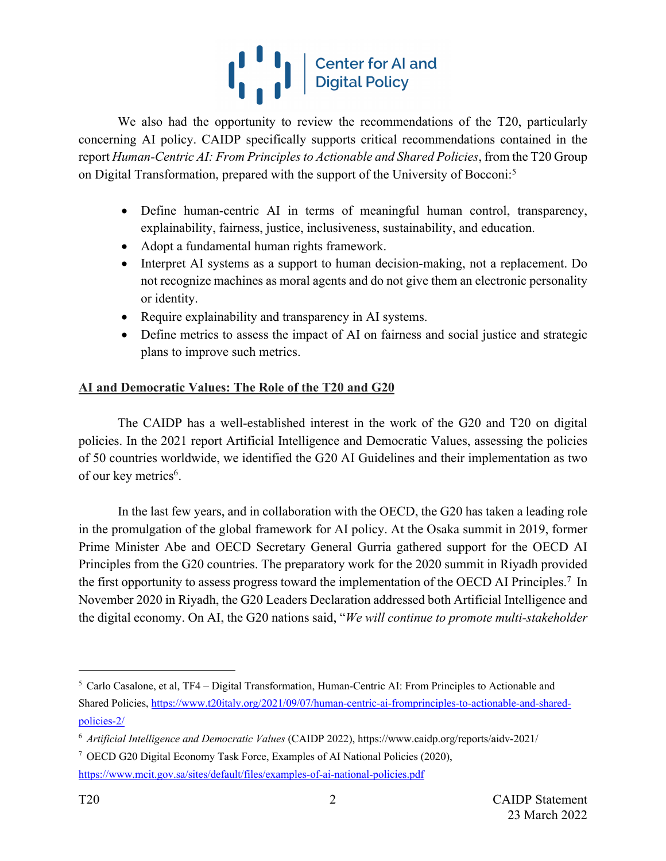# $\begin{bmatrix} 1 & 1 \\ 1 & 1 \end{bmatrix}$  Center for Al and

We also had the opportunity to review the recommendations of the T20, particularly concerning AI policy. CAIDP specifically supports critical recommendations contained in the report *Human-Centric AI: From Principles to Actionable and Shared Policies*, from the T20 Group on Digital Transformation, prepared with the support of the University of Bocconi: 5

- Define human-centric AI in terms of meaningful human control, transparency, explainability, fairness, justice, inclusiveness, sustainability, and education.
- Adopt a fundamental human rights framework.
- Interpret AI systems as a support to human decision-making, not a replacement. Do not recognize machines as moral agents and do not give them an electronic personality or identity.
- Require explainability and transparency in AI systems.
- Define metrics to assess the impact of AI on fairness and social justice and strategic plans to improve such metrics.

### **AI and Democratic Values: The Role of the T20 and G20**

The CAIDP has a well-established interest in the work of the G20 and T20 on digital policies. In the 2021 report Artificial Intelligence and Democratic Values, assessing the policies of 50 countries worldwide, we identified the G20 AI Guidelines and their implementation as two of our key metrics<sup>6</sup>.

In the last few years, and in collaboration with the OECD, the G20 has taken a leading role in the promulgation of the global framework for AI policy. At the Osaka summit in 2019, former Prime Minister Abe and OECD Secretary General Gurria gathered support for the OECD AI Principles from the G20 countries. The preparatory work for the 2020 summit in Riyadh provided the first opportunity to assess progress toward the implementation of the OECD AI Principles.7 In November 2020 in Riyadh, the G20 Leaders Declaration addressed both Artificial Intelligence and the digital economy. On AI, the G20 nations said, "*We will continue to promote multi-stakeholder* 

 $5$  Carlo Casalone, et al, TF4 – Digital Transformation, Human-Centric AI: From Principles to Actionable and Shared Policies, https://www.t20italy.org/2021/09/07/human-centric-ai-fromprinciples-to-actionable-and-sharedpolicies-2/

<sup>6</sup> *Artificial Intelligence and Democratic Values* (CAIDP 2022), https://www.caidp.org/reports/aidv-2021/

<sup>7</sup> OECD G20 Digital Economy Task Force, Examples of AI National Policies (2020), https://www.mcit.gov.sa/sites/default/files/examples-of-ai-national-policies.pdf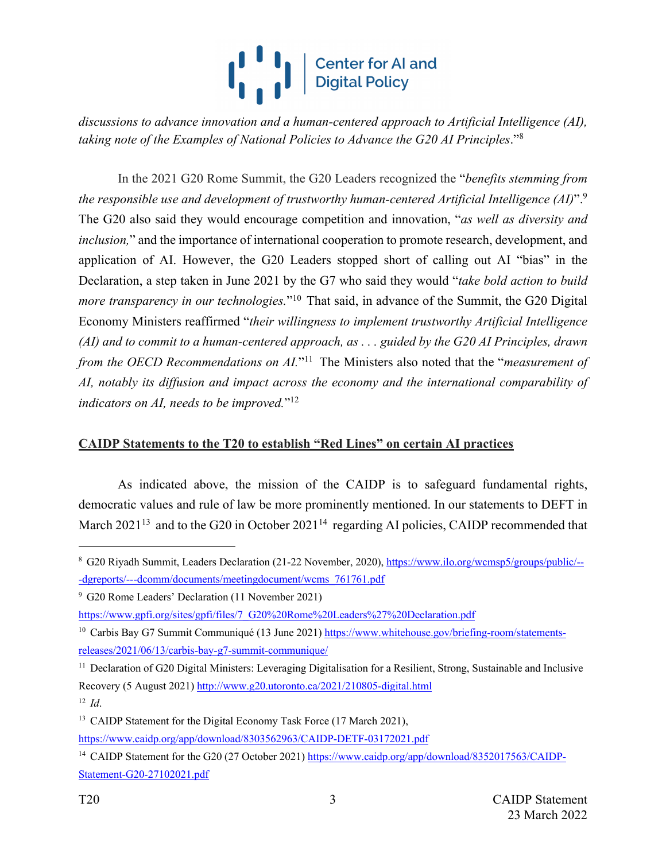## **ONE DESCRIPS A SET OF A LIGHT**<br>Digital Policy

*discussions to advance innovation and a human-centered approach to Artificial Intelligence (AI), taking note of the Examples of National Policies to Advance the G20 AI Principles*."8

In the 2021 G20 Rome Summit, the G20 Leaders recognized the "*benefits stemming from the responsible use and development of trustworthy human-centered Artificial Intelligence (AI)*". 9 The G20 also said they would encourage competition and innovation, "*as well as diversity and inclusion,*" and the importance of international cooperation to promote research, development, and application of AI. However, the G20 Leaders stopped short of calling out AI "bias" in the Declaration, a step taken in June 2021 by the G7 who said they would "*take bold action to build more transparency in our technologies.*"<sup>10</sup> That said, in advance of the Summit, the G20 Digital Economy Ministers reaffirmed "*their willingness to implement trustworthy Artificial Intelligence (AI) and to commit to a human-centered approach, as . . . guided by the G20 AI Principles, drawn from the OECD Recommendations on AI.*"<sup>11</sup> The Ministers also noted that the "*measurement of AI, notably its diffusion and impact across the economy and the international comparability of indicators on AI, needs to be improved.*"12

### **CAIDP Statements to the T20 to establish "Red Lines" on certain AI practices**

As indicated above, the mission of the CAIDP is to safeguard fundamental rights, democratic values and rule of law be more prominently mentioned. In our statements to DEFT in March  $2021^{13}$  and to the G20 in October  $2021^{14}$  regarding AI policies, CAIDP recommended that

https://www.gpfi.org/sites/gpfi/files/7\_G20%20Rome%20Leaders%27%20Declaration.pdf

<sup>8</sup> G20 Riyadh Summit, Leaders Declaration (21-22 November, 2020), https://www.ilo.org/wcmsp5/groups/public/-- -dgreports/---dcomm/documents/meetingdocument/wcms\_761761.pdf

<sup>9</sup> G20 Rome Leaders' Declaration (11 November 2021)

<sup>&</sup>lt;sup>10</sup> Carbis Bay G7 Summit Communiqué (13 June 2021) https://www.whitehouse.gov/briefing-room/statementsreleases/2021/06/13/carbis-bay-g7-summit-communique/

<sup>&</sup>lt;sup>11</sup> Declaration of G20 Digital Ministers: Leveraging Digitalisation for a Resilient, Strong, Sustainable and Inclusive Recovery (5 August 2021) http://www.g20.utoronto.ca/2021/210805-digital.html <sup>12</sup> *Id*.

<sup>&</sup>lt;sup>13</sup> CAIDP Statement for the Digital Economy Task Force (17 March 2021), https://www.caidp.org/app/download/8303562963/CAIDP-DETF-03172021.pdf

<sup>&</sup>lt;sup>14</sup> CAIDP Statement for the G20 (27 October 2021) https://www.caidp.org/app/download/8352017563/CAIDP-Statement-G20-27102021.pdf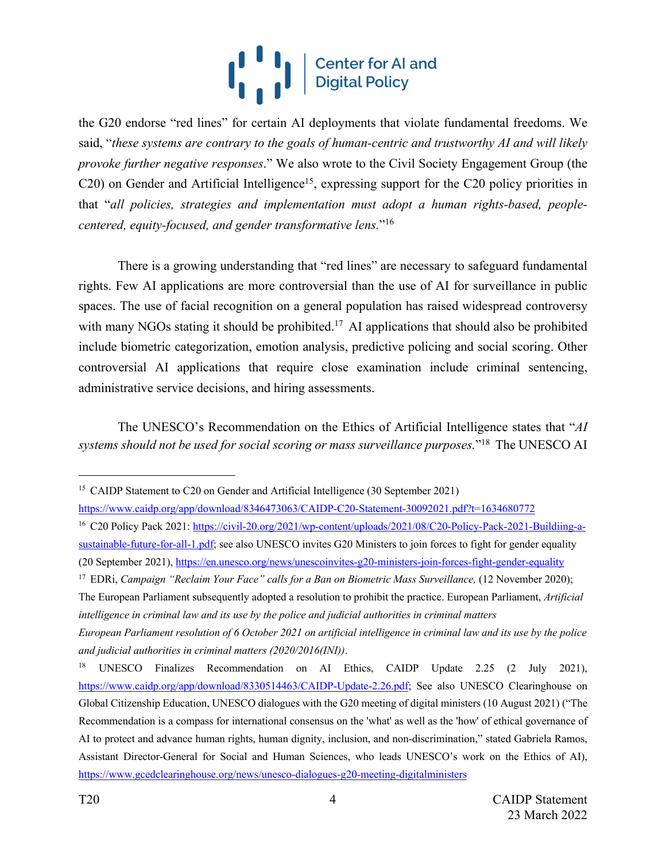# **ONE OF SHELF OF ALAnd Digital Policy**

the G20 endorse "red lines" for certain AI deployments that violate fundamental freedoms. We said, "*these systems are contrary to the goals of human-centric and trustworthy AI and will likely provoke further negative responses*." We also wrote to the Civil Society Engagement Group (the C20) on Gender and Artificial Intelligence<sup>15</sup>, expressing support for the C20 policy priorities in that "*all policies, strategies and implementation must adopt a human rights-based, peoplecentered, equity-focused, and gender transformative lens.*"16

There is a growing understanding that "red lines" are necessary to safeguard fundamental rights. Few AI applications are more controversial than the use of AI for surveillance in public spaces. The use of facial recognition on a general population has raised widespread controversy with many NGOs stating it should be prohibited.<sup>17</sup> AI applications that should also be prohibited include biometric categorization, emotion analysis, predictive policing and social scoring. Other controversial AI applications that require close examination include criminal sentencing, administrative service decisions, and hiring assessments.

The UNESCO's Recommendation on the Ethics of Artificial Intelligence states that "*AI systems should not be used for social scoring or mass surveillance purposes.*"18 The UNESCO AI

<sup>&</sup>lt;sup>15</sup> CAIDP Statement to C20 on Gender and Artificial Intelligence (30 September 2021)

https://www.caidp.org/app/download/8346473063/CAIDP-C20-Statement-30092021.pdf?t=1634680772

<sup>&</sup>lt;sup>16</sup> C20 Policy Pack 2021: https://civil-20.org/2021/wp-content/uploads/2021/08/C20-Policy-Pack-2021-Buildiing-asustainable-future-for-all-1.pdf; see also UNESCO invites G20 Ministers to join forces to fight for gender equality (20 September 2021), https://en.unesco.org/news/unescoinvites-g20-ministers-join-forces-fight-gender-equality

<sup>17</sup> EDRi, *Campaign "Reclaim Your Face" calls for a Ban on Biometric Mass Surveillance,* (12 November 2020);

The European Parliament subsequently adopted a resolution to prohibit the practice. European Parliament, *Artificial intelligence in criminal law and its use by the police and judicial authorities in criminal matters* 

*European Parliament resolution of 6 October 2021 on artificial intelligence in criminal law and its use by the police and judicial authorities in criminal matters (2020/2016(INI))*.

<sup>&</sup>lt;sup>18</sup> UNESCO Finalizes Recommendation on AI Ethics, CAIDP Update 2.25 (2 July 2021), https://www.caidp.org/app/download/8330514463/CAIDP-Update-2.26.pdf; See also UNESCO Clearinghouse on Global Citizenship Education, UNESCO dialogues with the G20 meeting of digital ministers (10 August 2021) ("The Recommendation is a compass for international consensus on the 'what' as well as the 'how' of ethical governance of AI to protect and advance human rights, human dignity, inclusion, and non-discrimination," stated Gabriela Ramos, Assistant Director-General for Social and Human Sciences, who leads UNESCO's work on the Ethics of AI), https://www.gcedclearinghouse.org/news/unesco-dialogues-g20-meeting-digitalministers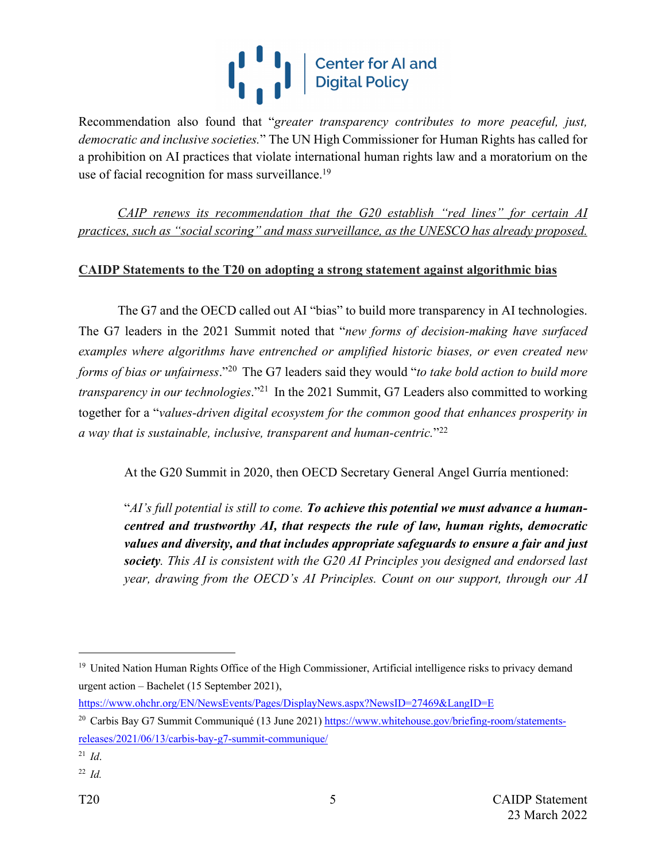# **Center for Al and Digital Policy**

Recommendation also found that "*greater transparency contributes to more peaceful, just, democratic and inclusive societies.*" The UN High Commissioner for Human Rights has called for a prohibition on AI practices that violate international human rights law and a moratorium on the use of facial recognition for mass surveillance.<sup>19</sup>

*CAIP renews its recommendation that the G20 establish "red lines" for certain AI practices, such as "social scoring" and mass surveillance, as the UNESCO has already proposed.*

### **CAIDP Statements to the T20 on adopting a strong statement against algorithmic bias**

The G7 and the OECD called out AI "bias" to build more transparency in AI technologies. The G7 leaders in the 2021 Summit noted that "*new forms of decision-making have surfaced examples where algorithms have entrenched or amplified historic biases, or even created new forms of bias or unfairness*."20 The G7 leaders said they would "*to take bold action to build more transparency in our technologies*."21 In the 2021 Summit, G7 Leaders also committed to working together for a "*values-driven digital ecosystem for the common good that enhances prosperity in a way that is sustainable, inclusive, transparent and human-centric.*"22

At the G20 Summit in 2020, then OECD Secretary General Angel Gurría mentioned:

"*AI's full potential is still to come. To achieve this potential we must advance a humancentred and trustworthy AI, that respects the rule of law, human rights, democratic values and diversity, and that includes appropriate safeguards to ensure a fair and just society. This AI is consistent with the G20 AI Principles you designed and endorsed last year, drawing from the OECD's AI Principles. Count on our support, through our AI* 

https://www.ohchr.org/EN/NewsEvents/Pages/DisplayNews.aspx?NewsID=27469&LangID=E

<sup>&</sup>lt;sup>19</sup> United Nation Human Rights Office of the High Commissioner, Artificial intelligence risks to privacy demand urgent action – Bachelet (15 September 2021),

<sup>&</sup>lt;sup>20</sup> Carbis Bay G7 Summit Communiqué (13 June 2021) https://www.whitehouse.gov/briefing-room/statementsreleases/2021/06/13/carbis-bay-g7-summit-communique/

<sup>21</sup> *Id*.

<sup>22</sup> *Id.*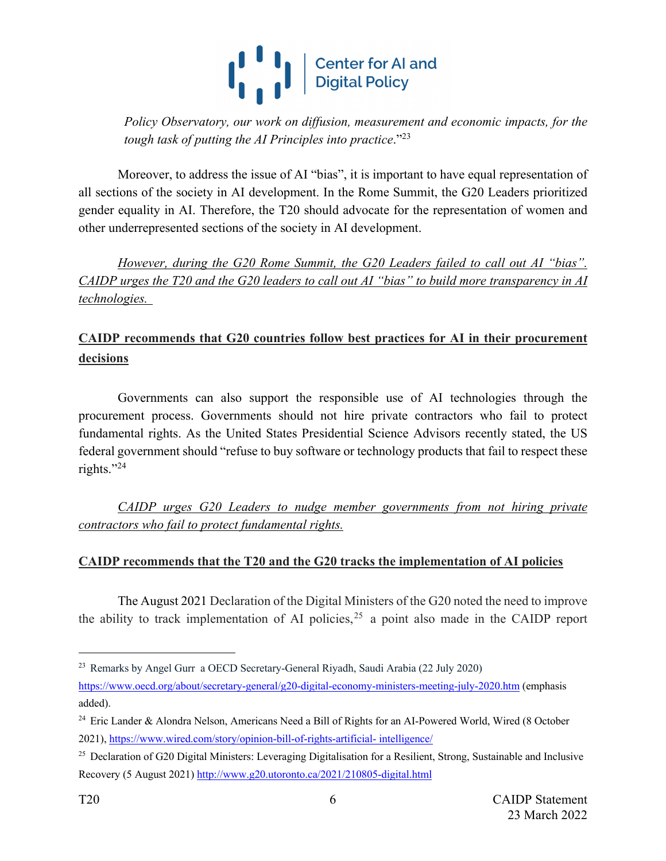

*Policy Observatory, our work on diffusion, measurement and economic impacts, for the tough task of putting the AI Principles into practice*."23

Moreover, to address the issue of AI "bias", it is important to have equal representation of all sections of the society in AI development. In the Rome Summit, the G20 Leaders prioritized gender equality in AI. Therefore, the T20 should advocate for the representation of women and other underrepresented sections of the society in AI development.

*However, during the G20 Rome Summit, the G20 Leaders failed to call out AI "bias". CAIDP urges the T20 and the G20 leaders to call out AI "bias" to build more transparency in AI technologies.* 

### **CAIDP recommends that G20 countries follow best practices for AI in their procurement decisions**

Governments can also support the responsible use of AI technologies through the procurement process. Governments should not hire private contractors who fail to protect fundamental rights. As the United States Presidential Science Advisors recently stated, the US federal government should "refuse to buy software or technology products that fail to respect these rights."24

*CAIDP urges G20 Leaders to nudge member governments from not hiring private contractors who fail to protect fundamental rights.*

### **CAIDP recommends that the T20 and the G20 tracks the implementation of AI policies**

The August 2021 Declaration of the Digital Ministers of the G20 noted the need to improve the ability to track implementation of AI policies,  $25$  a point also made in the CAIDP report

<sup>23</sup> Remarks by Angel Gurr a OECD Secretary-General Riyadh, Saudi Arabia (22 July 2020)

https://www.oecd.org/about/secretary-general/g20-digital-economy-ministers-meeting-july-2020.htm (emphasis added).

<sup>&</sup>lt;sup>24</sup> Eric Lander & Alondra Nelson, Americans Need a Bill of Rights for an AI-Powered World, Wired (8 October 2021), https://www.wired.com/story/opinion-bill-of-rights-artificial- intelligence/

<sup>&</sup>lt;sup>25</sup> Declaration of G20 Digital Ministers: Leveraging Digitalisation for a Resilient, Strong, Sustainable and Inclusive Recovery (5 August 2021) http://www.g20.utoronto.ca/2021/210805-digital.html